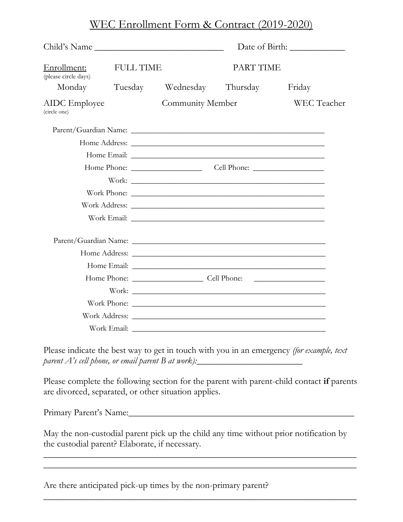## WEC Enrollment Form & Contract (2019-2020)

| Child's Name                         |                  |                            |                  |                    |
|--------------------------------------|------------------|----------------------------|------------------|--------------------|
| Enrollment:<br>(please circle days)  | <b>FULL TIME</b> |                            | <b>PART TIME</b> |                    |
| Monday                               |                  | Tuesday Wednesday Thursday |                  | Friday             |
| <b>AIDC</b> Employee<br>(circle one) |                  | Community Member           |                  | <b>WEC</b> Teacher |
|                                      |                  |                            |                  |                    |
|                                      |                  |                            |                  |                    |
|                                      |                  |                            |                  |                    |
|                                      |                  |                            |                  |                    |
|                                      |                  |                            |                  |                    |
|                                      |                  |                            |                  |                    |
|                                      |                  |                            |                  |                    |
|                                      |                  |                            |                  |                    |
|                                      |                  |                            |                  |                    |
|                                      |                  |                            |                  |                    |
|                                      |                  |                            |                  |                    |
|                                      |                  |                            |                  |                    |
|                                      |                  |                            |                  |                    |
|                                      |                  |                            |                  |                    |
|                                      |                  |                            |                  |                    |
|                                      |                  |                            |                  |                    |

Please indicate the best way to get in touch with you in an emergency *(for example, text parent A's cell phone, or email parent B at work)*: \_\_\_\_\_\_\_\_\_\_\_\_\_\_\_\_\_\_\_\_\_\_\_\_\_\_\_\_\_

Please complete the following section for the parent with parent-child contact **if** parents are divorced, separated, or other situation applies.

Primary Parent's Name:\_\_\_\_\_\_\_\_\_\_\_\_\_\_\_\_\_\_\_\_\_\_\_\_\_\_\_\_\_\_\_\_\_\_\_\_\_\_\_\_\_\_\_\_\_\_\_\_\_

May the non-custodial parent pick up the child any time without prior notification by the custodial parent? Elaborate, if necessary.

\_\_\_\_\_\_\_\_\_\_\_\_\_\_\_\_\_\_\_\_\_\_\_\_\_\_\_\_\_\_\_\_\_\_\_\_\_\_\_\_\_\_\_\_\_\_\_\_\_\_\_\_\_\_\_\_\_\_\_\_\_\_\_\_\_\_\_\_  $\overline{\phantom{a}}$  , and the contract of the contract of the contract of the contract of the contract of the contract of the contract of the contract of the contract of the contract of the contract of the contract of the contrac

\_\_\_\_\_\_\_\_\_\_\_\_\_\_\_\_\_\_\_\_\_\_\_\_\_\_\_\_\_\_\_\_\_\_\_\_\_\_\_\_\_\_\_\_\_\_\_\_\_\_\_\_\_\_\_\_\_\_\_\_\_\_\_\_\_\_\_\_

Are there anticipated pick-up times by the non-primary parent?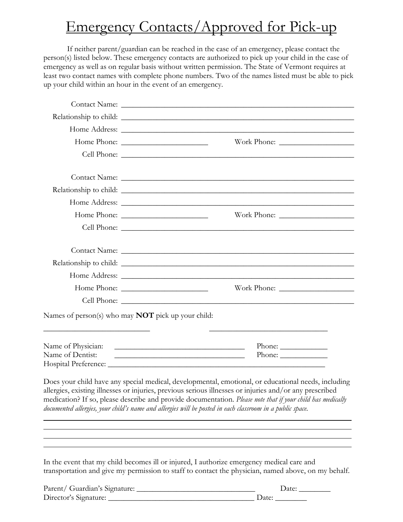## Emergency Contacts/Approved for Pick-up

If neither parent/guardian can be reached in the case of an emergency, please contact the person(s) listed below. These emergency contacts are authorized to pick up your child in the case of emergency as well as on regular basis without written permission. The State of Vermont requires at least two contact names with complete phone numbers. Two of the names listed must be able to pick up your child within an hour in the event of an emergency.

| Names of person(s) who may <b>NOT</b> pick up your child:                                                            |                                                                                                                                                                                                                |
|----------------------------------------------------------------------------------------------------------------------|----------------------------------------------------------------------------------------------------------------------------------------------------------------------------------------------------------------|
| <u> 1989 - Johann Stein, mars an deutscher Stein und der Stein und der Stein und der Stein und der Stein und der</u> |                                                                                                                                                                                                                |
|                                                                                                                      |                                                                                                                                                                                                                |
| Name of Dentist:                                                                                                     | Phone: $\frac{1}{\sqrt{1-\frac{1}{2}}\cdot\frac{1}{2}}$<br>Phone: $\_\_$<br><u> 1989 - Andrea State Barbara, amerikan personal di personal dengan personal dengan personal dengan personal de</u>              |
|                                                                                                                      |                                                                                                                                                                                                                |
|                                                                                                                      |                                                                                                                                                                                                                |
|                                                                                                                      | Does your child have any special medical, developmental, emotional, or educational needs, including<br>allergies, existing illnesses or injuries, previous serious illnesses or injuries and/or any prescribed |
|                                                                                                                      | medication? If so, please describe and provide documentation. Please note that if your child has medically                                                                                                     |
|                                                                                                                      | documented allergies, your child's name and allergies will be posted in each classroom in a public space.                                                                                                      |
|                                                                                                                      |                                                                                                                                                                                                                |
|                                                                                                                      |                                                                                                                                                                                                                |
|                                                                                                                      |                                                                                                                                                                                                                |
|                                                                                                                      | In the event that my child becomes ill or injured, I authorize emergency medical care and                                                                                                                      |
|                                                                                                                      | transportation and give my permission to staff to contact the physician, named above, on my behalf.                                                                                                            |
|                                                                                                                      |                                                                                                                                                                                                                |

| Parent/ Guardian's Signature: | Jate: |
|-------------------------------|-------|
| Director's Signature:         | Date: |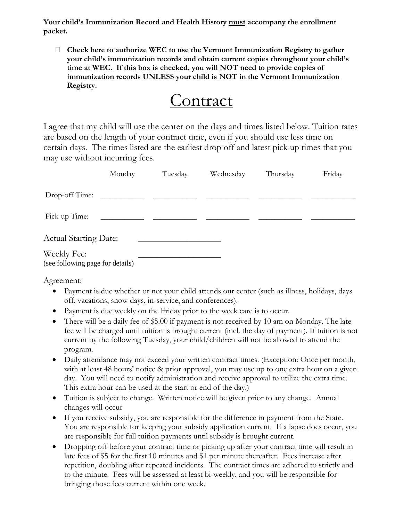**Your child's Immunization Record and Health History must accompany the enrollment packet.**

 **Check here to authorize WEC to use the Vermont Immunization Registry to gather your child's immunization records and obtain current copies throughout your child's time at WEC. If this box is checked, you will NOT need to provide copies of immunization records UNLESS your child is NOT in the Vermont Immunization Registry.** 



I agree that my child will use the center on the days and times listed below. Tuition rates are based on the length of your contract time, even if you should use less time on certain days. The times listed are the earliest drop off and latest pick up times that you may use without incurring fees.

|                                                 | Monday | Tuesday | Wednesday | Thursday | Friday |
|-------------------------------------------------|--------|---------|-----------|----------|--------|
| Drop-off Time:                                  |        |         |           |          |        |
| Pick-up Time:                                   |        |         |           |          |        |
| <b>Actual Starting Date:</b>                    |        |         |           |          |        |
| Weekly Fee:<br>(see following page for details) |        |         |           |          |        |

Agreement:

- Payment is due whether or not your child attends our center (such as illness, holidays, days off, vacations, snow days, in-service, and conferences).
- Payment is due weekly on the Friday prior to the week care is to occur.
- There will be a daily fee of \$5.00 if payment is not received by 10 am on Monday. The late fee will be charged until tuition is brought current (incl. the day of payment). If tuition is not current by the following Tuesday, your child/children will not be allowed to attend the program.
- Daily attendance may not exceed your written contract times. (Exception: Once per month, with at least 48 hours' notice & prior approval, you may use up to one extra hour on a given day. You will need to notify administration and receive approval to utilize the extra time. This extra hour can be used at the start or end of the day.)
- Tuition is subject to change. Written notice will be given prior to any change. Annual changes will occur
- If you receive subsidy, you are responsible for the difference in payment from the State. You are responsible for keeping your subsidy application current. If a lapse does occur, you are responsible for full tuition payments until subsidy is brought current.
- Dropping off before your contract time or picking up after your contract time will result in late fees of \$5 for the first 10 minutes and \$1 per minute thereafter. Fees increase after repetition, doubling after repeated incidents. The contract times are adhered to strictly and to the minute. Fees will be assessed at least bi-weekly, and you will be responsible for bringing those fees current within one week.